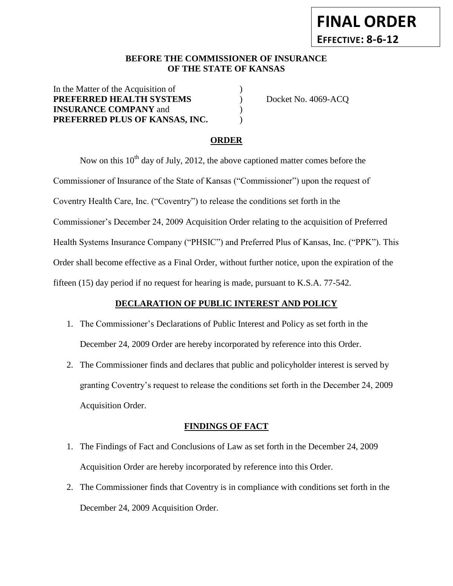### **BEFORE THE COMMISSIONER OF INSURANCE OF THE STATE OF KANSAS**

In the Matter of the Acquisition of **PREFERRED HEALTH SYSTEMS** ) Docket No. 4069-ACQ **INSURANCE COMPANY** and () **PREFERRED PLUS OF KANSAS, INC.** )

## **ORDER**

Now on this  $10<sup>th</sup>$  day of July, 2012, the above captioned matter comes before the Commissioner of Insurance of the State of Kansas ("Commissioner") upon the request of Coventry Health Care, Inc. ("Coventry") to release the conditions set forth in the Commissioner's December 24, 2009 Acquisition Order relating to the acquisition of Preferred Health Systems Insurance Company ("PHSIC") and Preferred Plus of Kansas, Inc. ("PPK"). This Order shall become effective as a Final Order, without further notice, upon the expiration of the fifteen (15) day period if no request for hearing is made, pursuant to K.S.A. 77-542.

## **DECLARATION OF PUBLIC INTEREST AND POLICY**

- 1. The Commissioner's Declarations of Public Interest and Policy as set forth in the December 24, 2009 Order are hereby incorporated by reference into this Order.
- 2. The Commissioner finds and declares that public and policyholder interest is served by granting Coventry's request to release the conditions set forth in the December 24, 2009 Acquisition Order.

## **FINDINGS OF FACT**

- 1. The Findings of Fact and Conclusions of Law as set forth in the December 24, 2009 Acquisition Order are hereby incorporated by reference into this Order.
- 2. The Commissioner finds that Coventry is in compliance with conditions set forth in the December 24, 2009 Acquisition Order.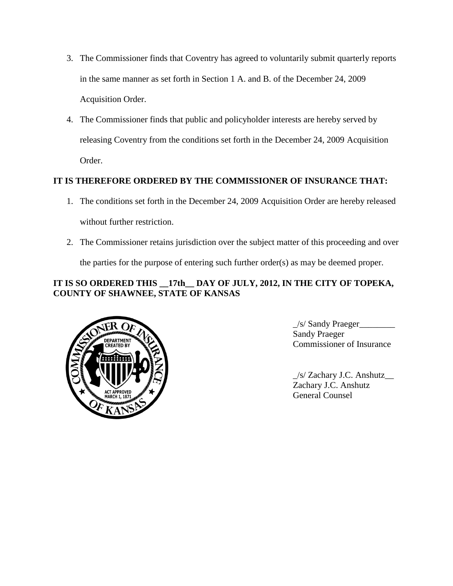- 3. The Commissioner finds that Coventry has agreed to voluntarily submit quarterly reports in the same manner as set forth in Section 1 A. and B. of the December 24, 2009 Acquisition Order.
- 4. The Commissioner finds that public and policyholder interests are hereby served by releasing Coventry from the conditions set forth in the December 24, 2009 Acquisition Order.

# **IT IS THEREFORE ORDERED BY THE COMMISSIONER OF INSURANCE THAT:**

- 1. The conditions set forth in the December 24, 2009 Acquisition Order are hereby released without further restriction.
- 2. The Commissioner retains jurisdiction over the subject matter of this proceeding and over the parties for the purpose of entering such further order(s) as may be deemed proper.

## **IT IS SO ORDERED THIS \_\_17th\_\_ DAY OF JULY, 2012, IN THE CITY OF TOPEKA, COUNTY OF SHAWNEE, STATE OF KANSAS**



\_/s/ Sandy Praeger\_\_\_\_\_\_\_\_ Sandy Praeger Commissioner of Insurance

\_/s/ Zachary J.C. Anshutz\_\_ Zachary J.C. Anshutz General Counsel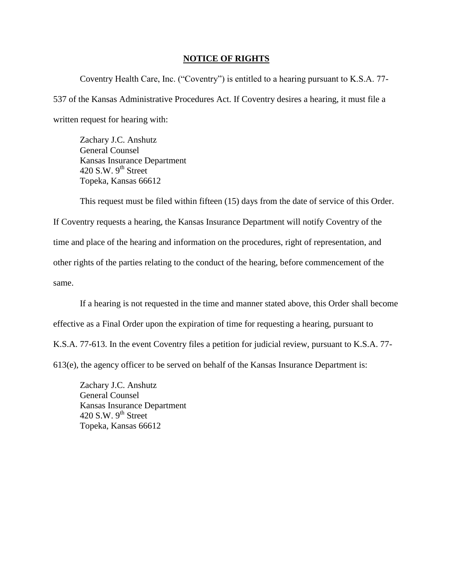#### **NOTICE OF RIGHTS**

Coventry Health Care, Inc. ("Coventry") is entitled to a hearing pursuant to K.S.A. 77- 537 of the Kansas Administrative Procedures Act. If Coventry desires a hearing, it must file a written request for hearing with:

Zachary J.C. Anshutz General Counsel Kansas Insurance Department 420 S.W.  $9<sup>th</sup>$  Street Topeka, Kansas 66612

This request must be filed within fifteen (15) days from the date of service of this Order. If Coventry requests a hearing, the Kansas Insurance Department will notify Coventry of the time and place of the hearing and information on the procedures, right of representation, and other rights of the parties relating to the conduct of the hearing, before commencement of the same.

If a hearing is not requested in the time and manner stated above, this Order shall become effective as a Final Order upon the expiration of time for requesting a hearing, pursuant to K.S.A. 77-613. In the event Coventry files a petition for judicial review, pursuant to K.S.A. 77- 613(e), the agency officer to be served on behalf of the Kansas Insurance Department is:

Zachary J.C. Anshutz General Counsel Kansas Insurance Department 420 S.W.  $9<sup>th</sup>$  Street Topeka, Kansas 66612